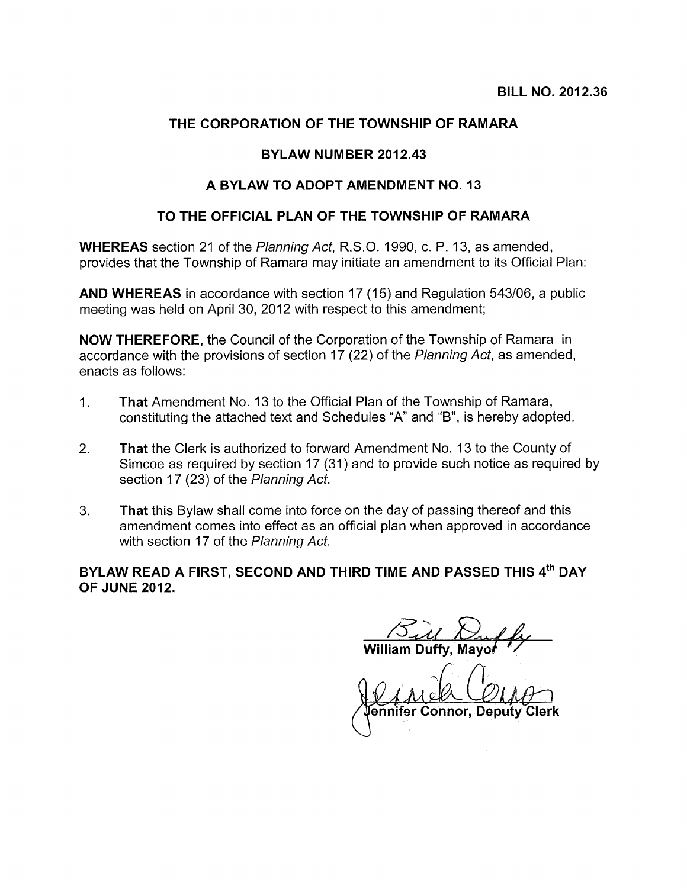# THE CORPORATION OF THE TOWNSHIP OF RAMARA

#### BYLAW NUMBER 2012.43

#### A BYLAW TO ADOPT AMENDMENT NO. 13

#### TO THE OFFICIAL PLAN OF THE TOWNSHIP OF RAMARA

WHEREAS section 21 of the Planning Act, R.S.O. 1990, c. P. 13, as amended, provides that the Township of Ramara may initiate an amendment to its Official Plan:

AND WHEREAS in accordance with section 17(15) and Regulation 543/06, a public meeting was held on April 30, 2012 with respect to this amendment;

NOW THEREFORE, the Council of the Corporation of the Township of Ramara in accordance with the provisions of section 17 (22) of the Planning Act, as amended, enacts as follows:

- 1. That Amendment No. 13 to the Official Plan of the Township of Ramara, constituting the attached text and Schedules "A" and "B", is hereby adopted.
- 2. That the Clerk is authorized to forward Amendment No. 13 to the County of Simcoe as required by section 17 (31) and to provide such notice as required by section 17 (23) of the Planning Act.
- 3. That this Bylaw shall come into force on the day of passing thereof and this amendment comes into effect as an official plan when approved in accordance with section 17 of the Planning Act. day of passing there<br>
lan when approved<br> **ME AND PASSED**<br> **ME AND PASSED**<br> **INDERSED**<br> **COLL**

# BYLAW READ A FIRST, SECOND AND THIRD TIME AND PASSED THIS 4<sup>th</sup> DAY OF JUNE 2012.

William Duffy, Mayo*ł* 

ennifer Connor,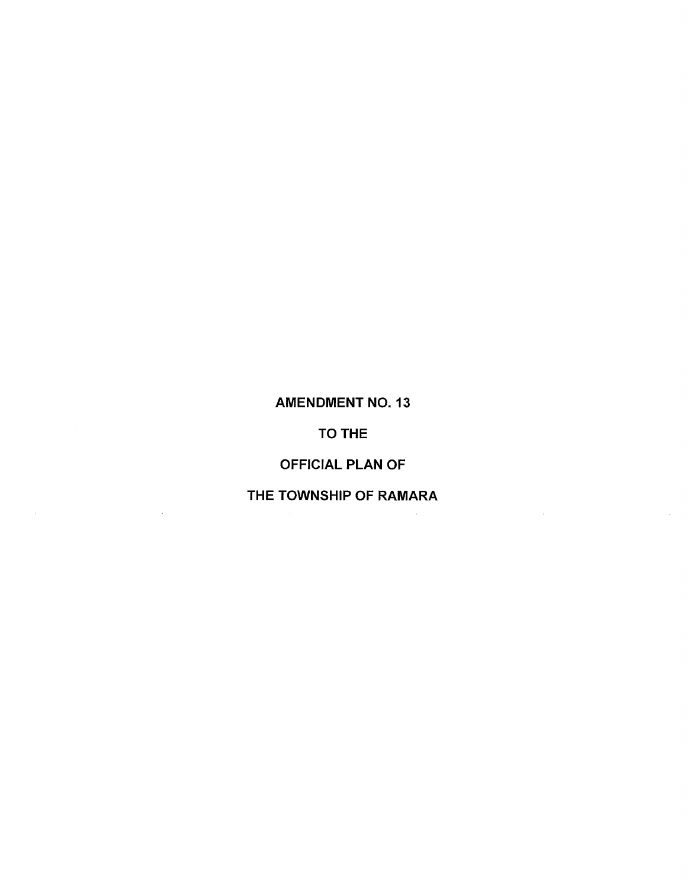# AMENDMENT NO. 13

# TO THE

# OFFICIAL PLAN OF

# THE TOWNSHIP OF RAMARA

 $\sim 10^7$ 

 $\hat{\mathcal{A}}$ 

 $\mathcal{A}(\mathcal{A})$  and  $\mathcal{A}(\mathcal{A})$  and  $\mathcal{A}(\mathcal{A})$ 

 $\sim 10^{-1}$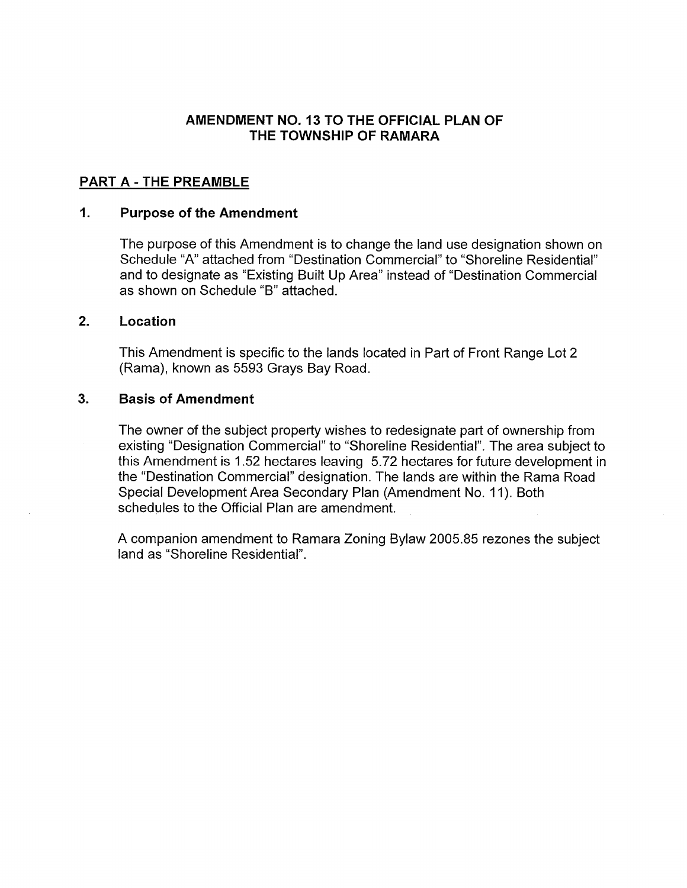### AMENDMENT NO. 13 TO THE OFFICIAL PLAN OF THE TOWNSHIP OF RAMARA

### PART A - THE PREAMBLE

#### $1<sub>1</sub>$ Purpose of the Amendment

The purpose of this Amendment is to change the land use designation shown on Schedule 'A" attached from "Destination Commercial" to "Shoreline Residential" and to designate as "Existing Built Up Area" instead of "Destination Commercial as shown on Schedule "B" attached.

#### 2. Location

This Amendment is specific to the lands located in Part of Front Range Lot 2 (Rama), known as 5593 Grays Bay Road.

#### 3. Basis of Amendment

The owner of the subject property wishes to redesignate part of ownership from existing "Designation Commercial" to "Shoreline Residential". The area subject to this Amendment is 1.52 hectares leaving 5.72 hectares for future development in the "Destination Commercial" designation. The lands are within the Rama Road Special Development Area Secondary Plan (Amendment No. 11). Both schedules to the Official Plan are amendment.

A companion amendment to Ramara Zoning Bylaw 2005.85 rezones the subject land as "Shoreline Residential".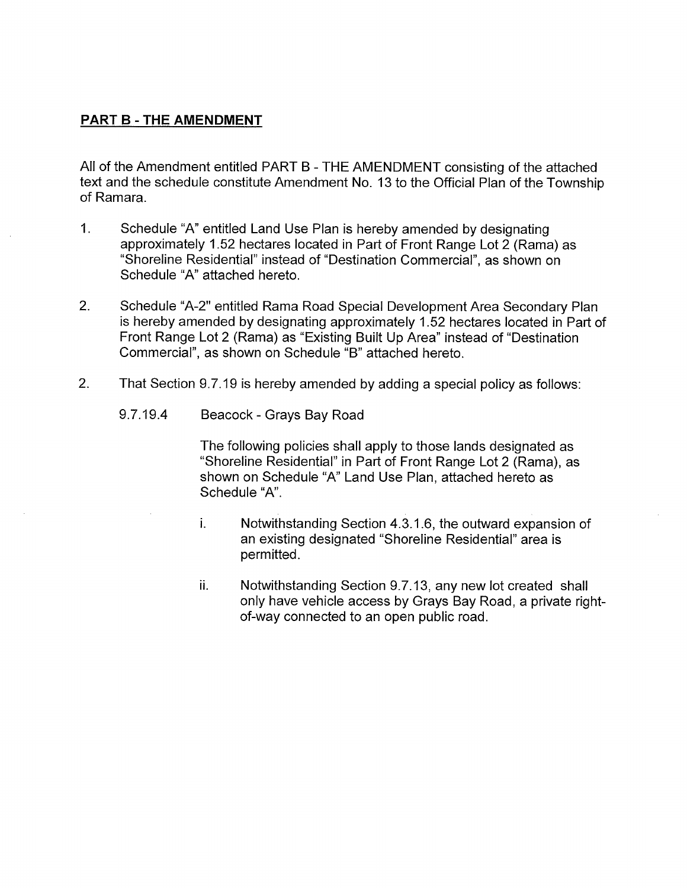# PART B - THE AMENDMENT

All of the Amendment entitled PART <sup>B</sup> -THE AMENDMENT consisting of the attached text and the schedule constitute Amendment No. 13 to the Official Plan of the Township of Ramara.

- 1. Schedule "A" entitled Land Use Plan is hereby amended by designating approximately 1.52 hectares located in Part of Front Range Lot 2 (Rama) as "Shoreline Residential" instead of "Destination Commercial", as shown on Schedule "A" attached hereto.
- 2. Schedule "A-2" entitled Rama Road Special Development Area Secondary Plan is hereby amended by designating approximately 1.52 hectares located in Part of Front Range Lot 2 (Rama) as "Existing Built Up Area" instead of "Destination Commercial", as shown on Schedule "B" attached hereto.
- 2. That Section 9.7.19 is hereby amended by adding a special policy as follows:
	- 9.7.19.4 Beacock -Grays Bay Road

The following policies shall apply to those lands designated as "Shoreline Residential" in Part of Front Range Lot 2 (Rama), as shown on Schedule "A" Land Use Plan, attached hereto as Schedule "A".

- i. Notwithstanding Section 4.3.1.6, the outward expansion of an existing designated "Shoreline Residential" area is permitted.
- ii. Notwithstanding Section 9.7.13, any new lot created shall only have vehicle access by Grays Bay Road, a private right of-way connected to an open public road.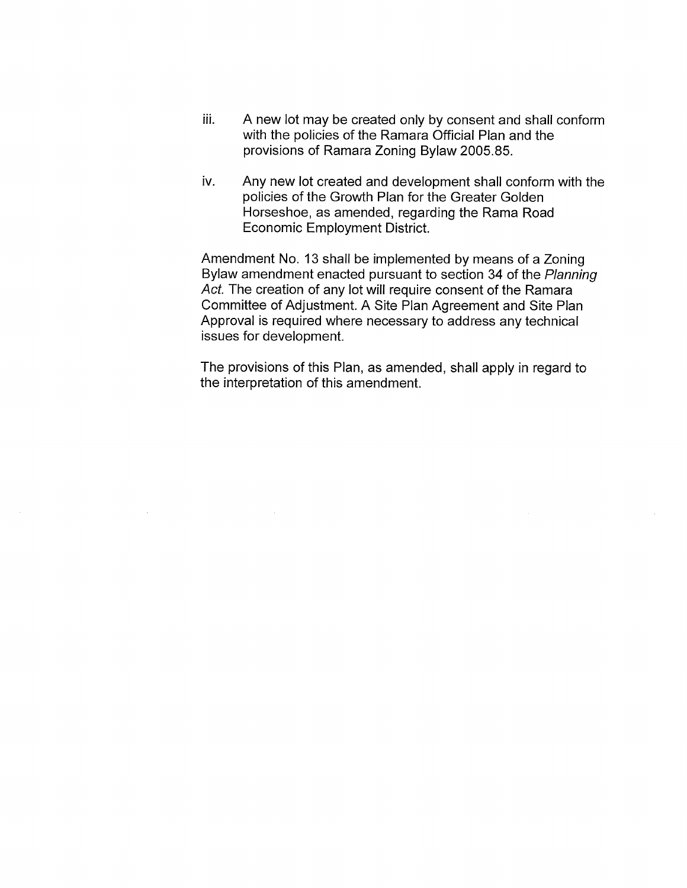- iii. A new lot may be created only by consent and shall conform with the policies of the Ramara Official Plan and the provisions of Ramara Zoning Bylaw 2005.85.
- iv. Any new lot created and development shall conform with the policies of the Growth Plan for the Greater Golden Horseshoe, as amended, regarding the Rama Road Economic Employment District.

Amendment No. 13 shall be implemented by means of a Zoning Bylaw amendment enacted pursuant to section 34 of the Planning Act. The creation of any lot will require consent of the Ramara Committee of Adjustment. A Site Plan Agreement and Site Plan Approval is required where necessary to address any technical issues for development.

The provisions of this Plan, as amended, shall apply in regard to the interpretation of this amendment.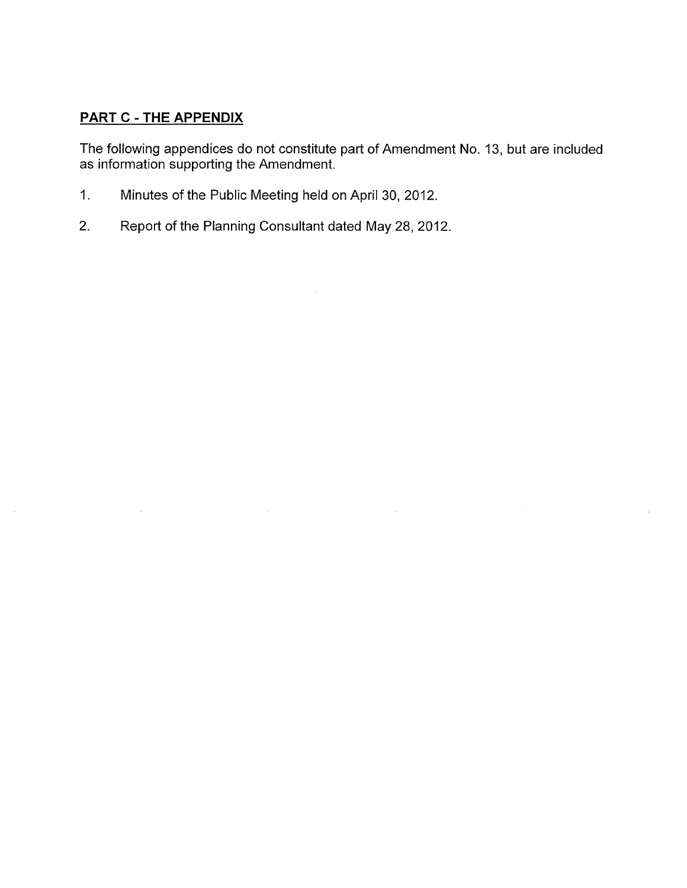# PART C - THE APPENDIX

 $\mathcal{L}(\mathcal{A})$  and  $\mathcal{L}(\mathcal{A})$ 

 $\sim 10^{-1}$ 

The following appendices do not constitute part of Amendment No. 13, but are included as information supporting the Amendment.

 $\mathcal{L}^{\text{max}}_{\text{max}}$  and  $\mathcal{L}^{\text{max}}_{\text{max}}$ 

 $\sim 10^{-10}$ 

 $\mathcal{L}_{\mathcal{L}}$ 

- 1. Minutes of the Public Meeting held on April 30, 2012.
- 2. Report of the Planning Consultant dated May 28, 2012.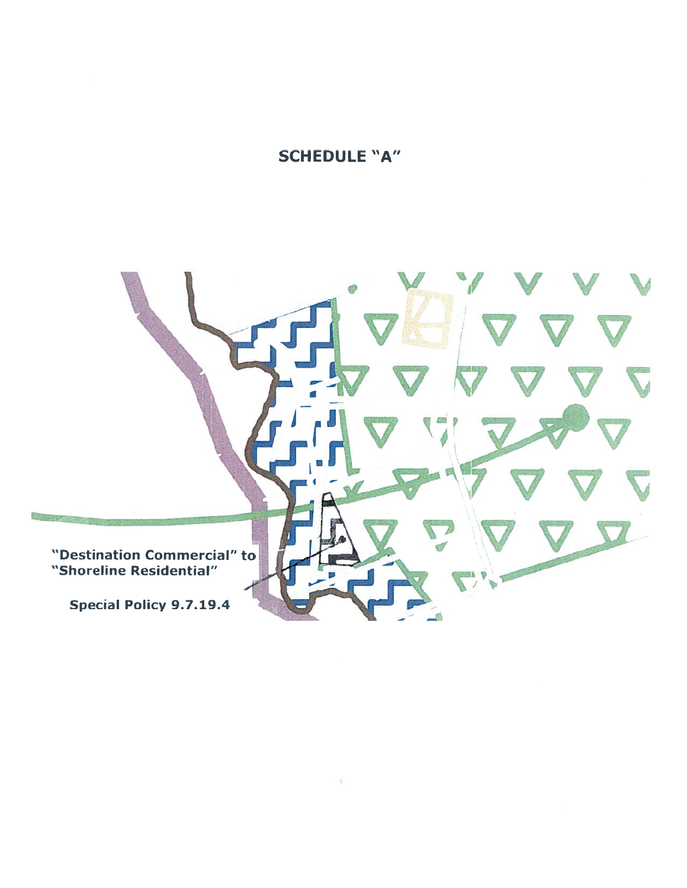SCHEDULE "A"